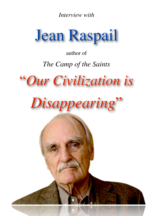*Interview with*



author of *The Camp of the Saints*



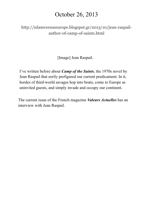### October 26, 2013

http://islamversuseurope.blogspot.gr/2013/10/jean-raspailauthor-of-camp-of-saints.html

[Image] Jean Raspail.

I've written before about *[Camp of the Saints](http://islamversuseurope.blogspot.com/2011/04/camp-of-saints.html)*, the 1970s novel by Jean Raspail that eerily prefigured our current predicament. In it, hordes of third-world savages hop into boats, come to Europe as uninvited guests, and simply invade and occupy our continent.

The current issue of the French magazine *Valeurs Actuelles* has an interview with Jean Raspail.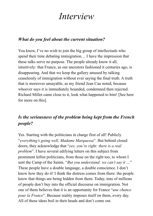### *Interview*

#### *What do you feel about the current situation?*

You know, I've no wish to join the big group of intellectuals who spend their time debating immigration… I have the impression that these talks serve no purpose. The people already know it all, intuitively: that France, as our ancestors fashioned it centuries ago, is disappearing. And that we keep the gallery amused by talking ceaselessly of immigration without ever saying the final truth. A truth that is moreover unsayable, as my friend Jean Cau noted, because whoever says it is immediately hounded, condemned then rejected. Richard Millet came close to it, look what happened to him! [See [here](http://islamversuseurope.blogspot.com/search?q=millet) for more on this].

#### *Is the seriousness of the problem being kept from the French people?*

Yes. Starting with the politicians in charge first of all! Publicly "*everything's going well, Madame Marquessa*". But behind closed doors, they acknowledge that "*yes, you're right: there is a real problem*". I have several edifying letters on this subject from prominent leftist politicians, from those on the right too, to whom I sent the [Camp of the Saints](http://islamversuseurope.blogspot.com/2011/04/camp-of-saints.html). "*But you understand: we can't say it …*" These people have a double language, a double conscience. I don't know how they do it! I think the distress comes from there: the people know that things are being hidden from them. Today, tens of millions of people don't buy into the official discourse on immigration. Not one of them believes that it is an opportunity for France "*une chance pour la France*". Because reality imposes itself on them, every day. All of these ideas boil in their heads and don't come out.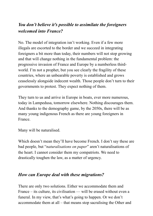#### *You don't believe it's possible to assimilate the foreigners welcomed into France?*

No. The model of integration isn't working. Even if a few more illegals are escorted to the border and we succeed in integrating foreigners a bit more than today, their numbers will not stop growing and that will change nothing in the fundamental problem: the progressive invasion of France and Europe by a numberless thirdworld. I'm not a prophet, but you see clearly the fragility of these countries, where an unbearable poverty is established and grows ceaselessly alongside indecent wealth. Those people don't turn to their governments to protest. They expect nothing of them.

They turn to us and arrive in Europe in boats, ever more numerous, today in Lampedusa, tomorrow elsewhere. Nothing discourages them. And thanks to the demography game, by the 2050s, there will be as many young indigenous French as there are young foreigners in France.

Many will be naturalised.

Which doesn't mean they'll have become French. I don't say these are bad people, but "*naturalisations on paper*" aren't naturalisations of the heart. I cannot consider them my compatriots. We need to drastically toughen the law, as a matter of urgency.

#### *How can Europe deal with these migrations?*

There are only two solutions. Either we accommodate them and France – its culture, its civilisation — will be erased without even a funeral. In my view, that's what's going to happen. Or we don't accommodate them at all – that means stop sacralising the Other and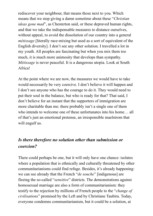rediscover your neighbour, that means those next to you. Which means that we stop giving a damn sometime about these "*Christian ideas gone mad*", as Chesterton said, or these depraved human rights, and that we take the indispensable measures to distance ourselves, without appeal, to avoid the dissolution of our country into a general *métissage* [literally race-mixing but used as a sort of equivalent of the English diversity]. I don't see any other solution. I travelled a lot in my youth. All peoples are fascinating but when you mix them too much, it is much more animosity that develops than sympathy. *Métissage* is never peaceful. It is a dangerous utopia. Look at South Africa!

At the point where we are now, the measures we would have to take would necessarily be very coercive. I don't believe it will happen and I don't see anyone who has the courage to do it. They would need to put their soul in the balance, but who is ready for that? That said, I don't believe for an instant that the supporters of immigration are more charitable than me: there probably isn't a single one of them who intends to welcome one of these unfortunates into his home… all of that's just an emotional pretense, an irresponsible maelstrom that will engulf us.

#### *Is there therefore no solution other than submission or coercion?*

There could perhaps be one, but it will only have one chance: isolates where a population that is ethnically and culturally threatened by other communitarianisms could find refuge. Besides, it's already happening: we can see already that the French "*de souche*" [indigenous] are fleeing the so-called "*sensitive*" districts. The demonstrations against homosexual marriage are also a form of communitarianism: they testify to the rejection by millions of French people to the "*change of civilisations*" promised by the Left and by Christiane Taubira. Today, everyone condemns communitarianism, but it could be a solution, at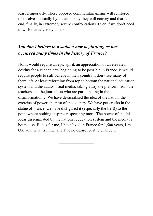least temporarily. These opposed communitarianisms will reinforce themselves mutually by the animosity they will convey and that will end, finally, in extremely severe confrontations. Even if we don't need to wish that adversity occurs.

#### *You don't believe in a sudden new beginning, as has occurred many times in the history of France?*

No. It would require an epic spirit, an appreciation of an elevated destiny for a sudden new beginning to be possible in France. It would require people to still believe in their country. I don't see many of them left. At least reforming from top to bottom the national education system and the audio-visual media, taking away the platform from the teachers and the journalists who are participating in the disinformation… We have desacralised the idea of the nation, the exercise of power, the past of the country. We have put cracks in the statue of France, we have disfigured it (especially the Left!) to the point where nothing inspires respect any more. The power of the false ideas disseminated by the national education system and the media is boundless. But as for me, I have lived in France for 1,500 years, I'm OK with what is mine, and I've no desire for it to change…

 $\frac{1}{2}$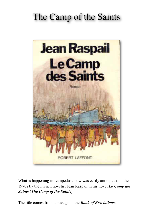# [The Camp of the Saints](http://islamversuseurope.blogspot.jp/2011/04/camp-of-saints.html)



What is happening in Lampedusa now was eerily anticipated in the 1970s by the French novelist Jean Raspail in his novel *Le Camp des Saints* (*The Camp of the Saints*).

The title comes from a passage in the *Book of Revelations*: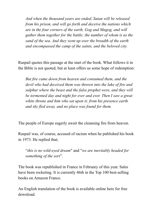*And when the thousand years are ended, Satan will be released from his prison, and will go forth and deceive the nations which are in the four corners of the earth, Gog and Magog, and will gather them together for the battle; the number of whom is as the sand of the sea. And they went up over the breadth of the earth and encompassed the camp of the saints, and the beloved city.*

Raspail quotes this passage at the start of the book. What follows it in the Bible is not quoted, but at least offers us some hope of redemption:

*But fire came down from heaven and consumed them, and the devil who had deceived them was thrown into the lake of fire and sulphur where the beast and the false prophet were, and they will be tormented day and night for ever and ever. Then I saw a great white throne and him who sat upon it; from his presence earth and sky fled away, and no place was found for them.*

The people of Europe eagerly await the cleansing fire from heaven.

Raspail was, of course, accused of racism when he published his book in 1973. He replied that;

"*this is no wild-eyed dream*" and "*we are inevitably headed for something of the sort*".

The book was republished in France in February of this year. Sales have been rocketing. It is currently [46th](http://www.amazon.fr/gp/bestsellers/books/ref=pd_ts_pg_3?ie=UTF8&pg=3) in the Top 100 best-selling books on Amazon France.

An English translation of the book is available online [here](http://www.jrbooksonline.com/PDFs/Camp_of_the_Saints.pdf) for free download.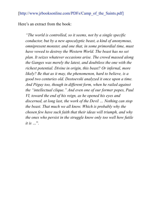#### [\[http://www.jrbooksonline.com/PDFs/Camp\\_of\\_the\\_Saints.pdf\]](http://www.jrbooksonline.com/PDFs/Camp_of_the_Saints.pdf%5D)

Here's an extract from the book:

*"The world is controlled, so it seems, not by a single specific conductor, but by a new apocalyptic beast, a kind of anonymous, omnipresent monster, and one that, in some primordial time, must have vowed to destroy the Western World. The beast has no set plan. It seizes whatever occasions arise. The crowd massed along the Ganges was merely the latest, and doubtless the one with the richest potential. Divine in origin, this beast? Or infernal, more likely? Be that as it may, the phenomenon, hard to believe, is a good two centuries old. Dostoevski analyzed it once upon a time. And Péguy too, though in different form, when he railed against the "intellectual clique." And even one of our former popes, Paul VI, toward the end of his reign, as he opened his eyes and discerned, at long last, the work of the Devil … Nothing can stop the beast. That much we all know. Which is probably why the chosen few have such faith that their ideas will triumph, and why the ones who persist in the struggle know only too well how futile it is …*"*.*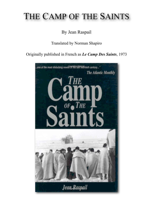# THE CAMP OF THE SAINTS

By Jean Raspail

Translated by Norman Shapiro

Originally published in French as *Le Camp Des Saints*, 1973

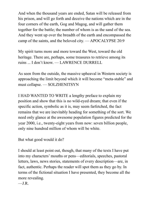And when the thousand years are ended, Satan will be released from his prison, and will go forth and deceive the nations which are in the four corners of the earth, Gog and Magog, and will gather them together for the battle; the number of whom is as the sand of the sea. And they went up over the breadth of the earth and encompassed the camp of the saints, and the beloved city. — APOCALYPSE 20:9

My spirit turns more and more toward the West, toward the old heritage. There are, perhaps, some treasures to retrieve among its ruins ... I don't know. — LAWRENCE DURRELL

As seen from the outside, the massive upheaval in Western society is approaching the limit beyond which it will become "meta-stable" and must collapse. — SOLZHENITSYN

I HAD WANTED TO WRITE a lengthy preface to explain my position and show that this is no wild-eyed dream; that even if the specific action, symbolic as it is, may seem farfetched, the fact remains that we are inevitably heading for something of the sort. We need only glance at the awesome population figures predicted for the year 2000, i.e., twenty-eight years from now: seven billion people, only nine hundred million of whom will be white.

But what good would it do?

I should at least point out, though, that many of the texts I have put into my characters' mouths or pens—editorials, speeches, pastoral letters, laws, news stories, statements of every description—are, in fact, authentic. Perhaps the reader will spot them as they go by. In terms of the fictional situation I have presented, they become all the more revealing.

 $-J.R.$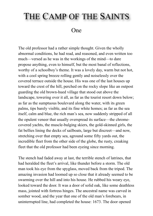# THE CAMP OF THE SAINTS **One**

The old professor had a rather simple thought. Given the wholly abnormal conditions, he had read, and reasoned, and even written too much—versed as he was in the workings of the mind—to dare propose anything, even to himself, but the most banal of reflections, worthy of a schoolboy's theme. It was a lovely day, warm but not hot, with a cool spring breeze rolling gently and noiselessly over the covered terrace outside the house. His was one of the last houses up toward the crest of the hill, perched on the rocky slope like an outpost guarding the old brown-hued village that stood out above the landscape, towering over it all, as far as the tourist resort down below; as far as the sumptuous boulevard along the water, with its green palms, tips barely visible, and its fine white homes; as far as the sea itself, calm and blue, the rich man's sea, now suddenly stripped of all the opulent veneer that usually overspread its surface—the chromecovered yachts, the muscle-bulging skiers, the gold-skinned girls, the fat bellies lining the decks of sailboats, large but discreet—and now, stretching over that empty sea, aground some fifty yards out, the incredible fleet from the other side of the globe, the rusty, creaking fleet that the old professor had been eyeing since morning.

The stench had faded away at last, the terrible stench of latrines, that had heralded the fleet's arrival, like thunder before a storm. The old man took his eye from the spyglass, moved back from the tripod. The amazing invasion had loomed up so close that it already seemed to be swarming over the hill and into his house. He rubbed his weary eye, looked toward the door. It was a door of solid oak, like some deathless mass, jointed with fortress hinges. The ancestral name was carved in somber wood, and the year that one of the old man's forebears, in uninterrupted line, had completed the house: 1673. The door opened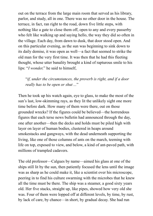out on the terrace from the large main room that served as his library, parlor, and study, all in one. There was no other door in the house. The terrace, in fact, ran right to the road, down five little steps, with nothing like a gate to close them off, open to any and every passerby who felt like walking up and saying hello, the way they did so often in the village. Each day, from dawn to dusk, that door stood open. And on this particular evening, as the sun was beginning to sink down to its daily demise, it was open as well—a fact that seemed to strike the old man for the very first time. It was then that he had this fleeting thought, whose utter banality brought a kind of rapturous smile to his lips: "*I wonder,*" he said to himself,

"*if, under the circumstances, the proverb is right, and if a door really has to be open or shut ...*"

Then he took up his watch again, eye to glass, to make the most of the sun's last, low-skimming rays, as they lit the unlikely sight one more time before dark. How many of them were there, out on those grounded wrecks? If the figures could be believed—the horrendous figures that each terse news bulletin had announced through the day, one after another—then the decks and holds must be piled high with layer on layer of human bodies, clustered in heaps around smokestacks and gangways, with the dead underneath supporting the living, like one of those columns of ants on the march, teeming with life on top, exposed to view, and below, a kind of ant-paved path, with millions of trampled cadavers.

The old professor—Calgues by name—aimed his glass at one of the ships still lit by the sun, then patiently focused the lens until the image was as sharp as he could make it, like a scientist over his microscope, peering in to find his culture swarming with the microbes that he knew all the time must be there. The ship was a steamer, a good sixty years old. Her five stacks, straight up, like pipes, showed how very old she was. Four of them were lopped off at different levels, by time, by rust, by lack of care, by chance—in short, by gradual decay. She had run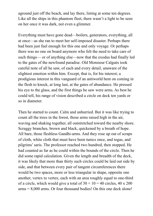aground just off the beach, and lay there, listing at some ten degrees. Like all the ships in this phantom fleet, there wasn't a light to be seen on her once it was dark, not even a glimmer.

Everything must have gone dead—boilers, generators, everything, all at once—as she ran to meet her self-imposed disaster. Perhaps there had been just fuel enough for this one and only voyage. Or perhaps there was no one on board anymore who felt the need to take care of such things— or of anything else—now that the exodus had finally led to the gates of the newfound paradise. Old Monsieur Calguès took careful note of all he saw, of each and every detail, unaware of the slightest emotion within him. Except, that is, for his interest; a prodigious interest in this vanguard of an antiworld bent on coming in the flesh to knock, at long last, at the gates of abundance. He pressed his eye to the glass, and the first things he saw were arms. As best he could tell, his range of vision described a circle on deck ten yards or so in diameter.

Then he started to count. Calm and unhurried. But it was like trying to count all the trees in the forest, those arms raised high in the air, waving and shaking together, all outstretched toward the nearby shore. Scraggy branches, brown and black, quickened by a breath of hope. All bare, those fleshless Gandhi-arms. And they rose up out of scraps of cloth, white cloth that must have been tunics once, and togas, and pilgrims' saris. The professor reached two hundred, then stopped. He had counted as far as he could within the bounds of the circle. Then he did some rapid calculation. Given the length and breadth of the deck, it was likely that more than thirty such circles could be laid out side by side, and that between every pair of tangent circumferences there would be two spaces, more or less triangular in shape, opposite one another, vertex to vertex, each with an area roughly equal to one-third of a circle, which would give a total of  $30 + 10 = 40$  circles,  $40 \times 200$ arms = 8,000 arms. Or four thousand bodies! On this one deck alone!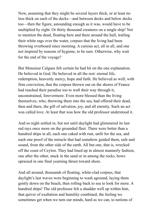Now, assuming that they might be several layers thick, or at least no less thick on each of the decks—and between decks and below decks too—then the figure, astounding enough as it was, would have to be multiplied by eight. Or thirty thousand creatures on a single ship! Not to mention the dead, floating here and there around the hull, trailing their white rags over the water, corpses that the living had been throwing overboard since morning. A curious act, all in all, and one not inspired by reasons of hygiene, to be sure. Otherwise, why wait for the end of the voyage?

But Monsieur Calgues felt certain he had hit on the one explanation. He believed in God. He believed in all the rest: eternal life, redemption, heavenly mercy, hope and faith. He believed as well, with firm conviction, that the corpses thrown out on the shores of France had reached their paradise too to waft their way through it, unconstrained, forevermore. Even more blessed than the living themselves, who, throwing them into the sea, had offered their dead, then and there, the gift of salvation, joy, and all eternity. Such an act was called love. At least that was how the old professor understood it.

And so night settled in, but not until daylight had glimmered its last red rays once more on the grounded fleet. There were better than a hundred ships in all, each one caked with rust, unfit for the sea, and each one proof of the miracle that had somehow guided them, safe and sound, from the other side of the earth. All but one, that is, wrecked off the coast of Ceylon. They had lined up in almost mannerly fashion, one after the other, stuck in the sand or in among the rocks, bows upraised in one final yearning thrust toward shore.

And all around, thousands of floating, white-clad corpses, that daylight's last waves were beginning to wash aground, laying them gently down on the beach, then rolling back to sea to look for more. A hundred ships! The old professor felt a shudder well up within him, that quiver of exaltation and humility combined, the feeling we sometimes get when we turn our minds, hard as we can, to notions of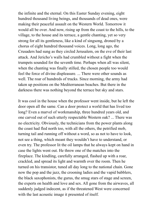the infinite and the eternal. On this Easter Sunday evening, eight hundred thousand living beings, and thousands of dead ones, were making their peaceful assault on the Western World. Tomorrow it would all be over. And now, rising up from the coast to the hills, to the village, to the house and its terrace, a gentle chanting, yet so very strong for all its gentleness, like a kind of singsong, droned by a chorus of eight hundred thousand voices. Long, long ago, the Crusaders had sung as they circled Jerusalem, on the eve of their last attack. And Jericho's walls had crumbled without a fight when the trumpets sounded for the seventh time. Perhaps when all was silent, when the chanting was finally stilled, the chosen people too would feel the force of divine displeasure. ... There were other sounds as well. The roar of hundreds of trucks. Since morning, the army had taken up positions on the Mediterranean beaches. But there in the darkness there was nothing beyond the terrace but sky and stars.

It was cool in the house when the professor went inside, but he left the door open all the same. Can a door protect a world that has lived too long? Even a marvel of workmanship, three hundred years old, and one carved out of such utterly respectable Western oak? ... There was no electricity. Obviously, the technicians from the power plants along the coast had fled north too, with all the others, the petrified mob, turning tail and running off without a word, so as not to have to look, not see a thing, which meant they wouldn't have to understand, or even try. The professor lit the oil lamps that he always kept on hand in case the lights went out. He threw one of the matches into the fireplace. The kindling, carefully arranged, flashed up with a roar, crackled, and spread its light and warmth over the room. Then he turned on his transistor, tuned all day long to the national chain. Gone now the pop and the jazz, the crooning ladies and the vapid babblers, the black saxophonists, the gurus, the smug stars of stage and screen, the experts on health and love and sex. All gone from the airwaves, all suddenly judged indecent, as if the threatened West were concerned with the last acoustic image it presented of itself.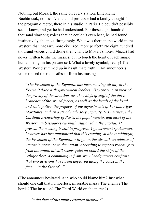Nothing but Mozart, the same on every station. Eine kleine Nachtmusik, no less. And the old professor had a kindly thought for the program director, there in his studio in Paris. He couldn't possibly see or know, and yet he had understood. For those eight hundred thousand singsong voices that he couldn't even hear, he had found, instinctively, the most fitting reply. What was there in the world more Western than Mozart, more civilized, more perfect? No eight hundred thousand voices could drone their chant to Mozart's notes. Mozart had never written to stir the masses, but to touch the heart of each single human being, in his private self. What a lovely symbol, really! The Western World summed up in its ultimate truth ... An announcer's voice roused the old professor from his musings:

"*The President of the Republic has been meeting all day at the Élysée Palace with government leaders. Also present, in view of the gravity of the situation, are the chiefs of staff of the three branches of the armed forces, as well as the heads of the local and state police, the prefects of the departments of Var and Alpes-Maritimes, and, in a strictly advisory capacity, His Eminence the Cardinal Archbishop of Paris, the papal nuncio, and most of the Western ambassadors currently stationed in the capital. At present the meeting is still in progress. A government spokesman, however, has just announced that this evening, at about midnight, the President of the Republic will go on the air with an address of utmost importance to the nation. According to reports reaching us from the south, all still seems quiet on board the ships of the refugee fleet. A communiqué from army headquarters confirms that two divisions have been deployed along the coast in the face ... in the face of ...*"

(The announcer hesitated. And who could blame him? Just what should one call that numberless, miserable mass? The enemy? The horde? The invasion? The Third World on the march?)

"*... in the face of this unprecedented incursion*"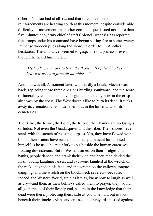(There! Not too bad at all!) ... and that three divisions of reinforcements are heading south at this moment, despite considerable difficulty of movement. In another communiqué, issued not more than five minutes ago, army chief of staff Colonel Dragasès has reported that troops under his command have begun setting fire to some twenty immense wooden piles along the shore, in order to ... (Another hesitation. The announcer seemed to gasp. The old professor even thought he heard him mutter:

"*My God! ... in order to burn the thousands of dead bodies thrown overboard from all the ships ...*"

And that was all. A moment later, with hardly a break, Mozart was back, replacing those three divisions hurtling southward, and the score of funeral pyres that must have begun to crackle by now in the crisp air down by the coast. The West doesn't like to burn its dead. It tucks away its cremation urns, hides them out in the hinterlands of its cemeteries.

The Seine, the Rhine, the Loire, the Rhône, the Thames are no Ganges or Indus. Not even the Guadalquivir and the Tiber. Their shores never stank with the stench of roasting corpses. Yes, they have flowed with blood, their waters have run red, and many a peasant has crossed himself as he used his pitchfork to push aside the human carcasses floating downstream. But in Western times, on their bridges and banks, people danced and drank their wine and beer, men tickled the fresh, young laughing lasses, and everyone laughed at the wretch on the rack, laughed in his face, and the wretch on the gallows, tongue dangling, and the wretch on the block, neck severed—because, indeed, the Western World, staid as it was, knew how to laugh as well as cry—and then, as their belfreys called them to prayer, they would all go partake of their fleshly god, secure in the knowledge that their dead were there, protecting them, safe as could be, laid out in rows beneath their timeless slabs and crosses, in graveyards nestled against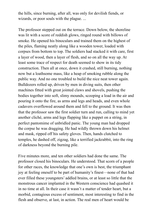the hills, since burning, after all, was only for devilish fiends, or wizards, or poor souls with the plague. ...

The professor stepped out on the terrace. Down below, the shoreline was lit with a score of reddish glows, ringed round with billows of smoke. He opened his binoculars and trained them on the highest of the piles, flaming neatly along like a wooden tower, loaded with corpses from bottom to top. The soldiers had stacked it with care, first a layer of wood, then a layer of flesh, and so on all the way up. At least some trace of respect for death seemed to show in its tidy construction. Then all at once, down it crashed, still burning, nothing now but a loathsome mass, like a heap of smoking rubble along the public way. And no one troubled to build the nice neat tower again. Bulldozers rolled up, driven by men in diving suits, then other machines fitted with great jointed claws and shovels, pushing the bodies together into soft, slimy mounds, scooping a load in the air and pouring it onto the fire, as arms and legs and heads, and even whole cadavers overflowed around them and fell to the ground. It was then that the professor saw the first soldier turn and run, calling to mind yet another cliché, arms and legs flapping like a puppet on a string, in perfect pantomime of unbridled panic. The young man had dropped the corpse he was dragging. He had wildly thrown down his helmet and mask, ripped off his safety gloves. Then, hands clutched to temples, he dashed off, zigzag, like a terrified jackrabbit, into the ring of darkness beyond the burning pile.

Five minutes more, and ten other soldiers had done the same. The professor closed his binoculars. He understood. That scorn of a people for other races, the knowledge that one's own is best, the triumphant joy at feeling oneself to be part of humanity's finest—none of that had ever filled these youngsters' addled brains, or at least so little that the monstrous cancer implanted in the Western conscience had quashed it in no time at all. In their case it wasn't a matter of tender heart, but a morbid, contagious excess of sentiment, most interesting to find in the flesh and observe, at last, in action. The real men of heart would be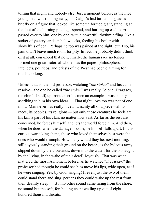toiling that night, and nobody else. Just a moment before, as the nice young man was running away, old Calguès had turned his glasses briefly on a figure that looked like some uniformed giant, standing at the foot of the burning pile, legs spread, and hurling up each corpse passed over to him, one by one, with a powerful, rhythmic fling, like a stoker of yesteryear deep belowdecks, feeding his boiler with shovelfuls of coal. Perhaps he too was pained at the sight, but if so, his pain didn't leave much room for pity. In fact, he probably didn't think of it at all, convinced that now, finally, the human race no longer formed one great fraternal whole—as the popes, philosophers, intellects, politicos, and priests of the West had been claiming for much too long.

Unless, that is, the old professor, watching "*the stoker*" and his calm resolve—the one he called "*the stoker*" was really Colonel Dragases, the chief of staff, up front to set his men an example—was simply ascribing to him his own ideas. ... That night, love too was not of one mind. Man never has really loved humanity all of a piece—all its races, its peoples, its religions— but only those creatures he feels are his kin, a part of his clan, no matter how vast. As far as the rest are concerned, he forces himself, and lets the world force him. And then, when he does, when the damage is done, he himself falls apart. In this curious war taking shape, those who loved themselves best were the ones who would triumph. How many would they be, next morning, still joyously standing their ground on the beach, as the hideous army slipped down by the thousands, down into the water, for the onslaught by the living, in the wake of their dead? Joyously! That was what mattered the most. A moment before, as he watched "*the stoker,*" the professor had thought he could see him move his lips, wide open, as if he were singing. Yes, by God, singing! If even just the two of them could stand there and sing, perhaps they could wake up the rest from their deathly sleep. ... But no other sound came rising from the shore, no sound but the soft, foreboding chant welling up out of eight hundred thousand throats.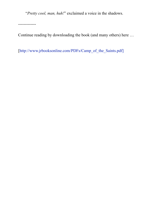"*Pretty cool, man, huh!*" exclaimed a voice in the shadows.

-------------

Continue reading by downloading the book (and many others) here …

[\[http://www.jrbooksonline.com/PDFs/Camp\\_of\\_the\\_Saints.pdf\]](http://www.jrbooksonline.com/PDFs/Camp_of_the_Saints.pdf%5D)